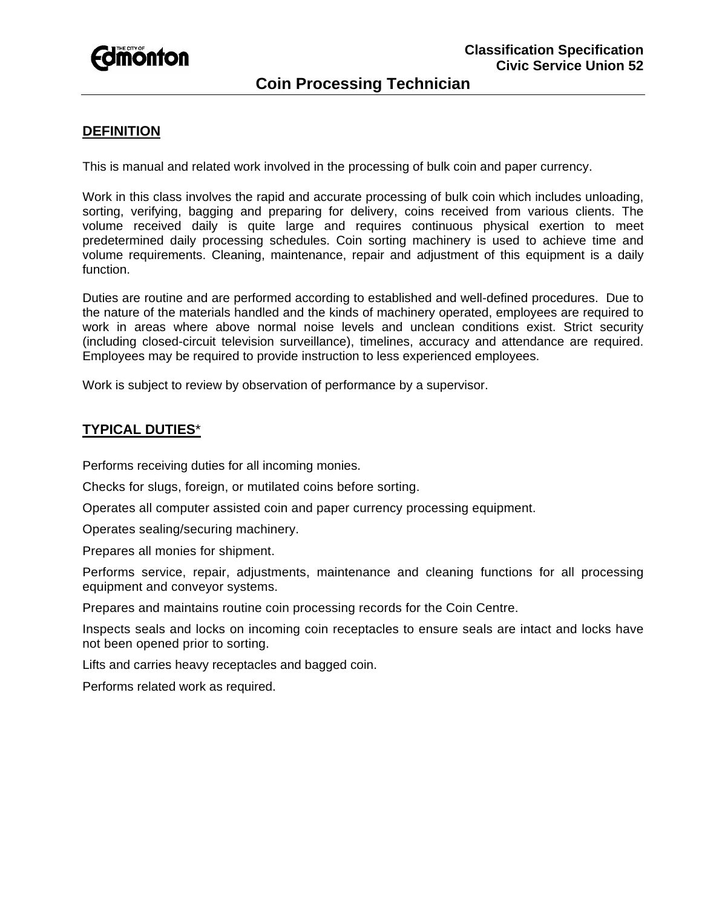

# **Coin Processing Technician**

## **DEFINITION**

This is manual and related work involved in the processing of bulk coin and paper currency.

Work in this class involves the rapid and accurate processing of bulk coin which includes unloading, sorting, verifying, bagging and preparing for delivery, coins received from various clients. The volume received daily is quite large and requires continuous physical exertion to meet predetermined daily processing schedules. Coin sorting machinery is used to achieve time and volume requirements. Cleaning, maintenance, repair and adjustment of this equipment is a daily function.

Duties are routine and are performed according to established and well-defined procedures. Due to the nature of the materials handled and the kinds of machinery operated, employees are required to work in areas where above normal noise levels and unclean conditions exist. Strict security (including closed-circuit television surveillance), timelines, accuracy and attendance are required. Employees may be required to provide instruction to less experienced employees.

Work is subject to review by observation of performance by a supervisor.

### **TYPICAL DUTIES**\*

Performs receiving duties for all incoming monies.

Checks for slugs, foreign, or mutilated coins before sorting.

Operates all computer assisted coin and paper currency processing equipment.

Operates sealing/securing machinery.

Prepares all monies for shipment.

Performs service, repair, adjustments, maintenance and cleaning functions for all processing equipment and conveyor systems.

Prepares and maintains routine coin processing records for the Coin Centre.

Inspects seals and locks on incoming coin receptacles to ensure seals are intact and locks have not been opened prior to sorting.

Lifts and carries heavy receptacles and bagged coin.

Performs related work as required.